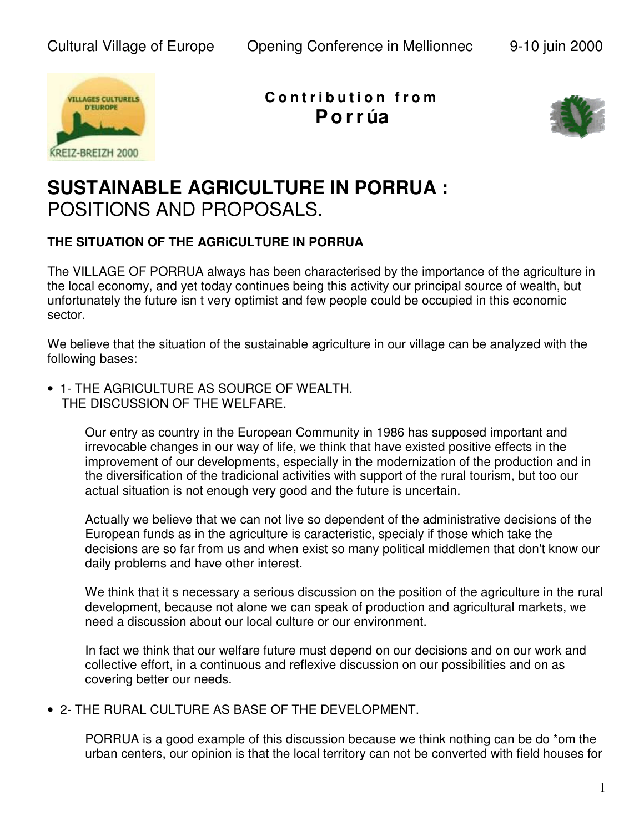

**C o n t r i b u t i o n f r o m Po r r úa**



## **SUSTAINABLE AGRICULTURE IN PORRUA :**  POSITIONS AND PROPOSALS.

## **THE SITUATION OF THE AGRiCULTURE IN PORRUA**

The VILLAGE OF PORRUA always has been characterised by the importance of the agriculture in the local economy, and yet today continues being this activity our principal source of wealth, but unfortunately the future isn t very optimist and few people could be occupied in this economic sector.

We believe that the situation of the sustainable agriculture in our village can be analyzed with the following bases:

• 1- THE AGRICULTURE AS SOURCE OF WEALTH. THE DISCUSSION OF THE WELFARE.

> Our entry as country in the European Community in 1986 has supposed important and irrevocable changes in our way of life, we think that have existed positive effects in the improvement of our developments, especially in the modernization of the production and in the diversification of the tradicional activities with support of the rural tourism, but too our actual situation is not enough very good and the future is uncertain.

Actually we believe that we can not live so dependent of the administrative decisions of the European funds as in the agriculture is caracteristic, specialy if those which take the decisions are so far from us and when exist so many political middlemen that don't know our daily problems and have other interest.

We think that it s necessary a serious discussion on the position of the agriculture in the rural development, because not alone we can speak of production and agricultural markets, we need a discussion about our local culture or our environment.

In fact we think that our welfare future must depend on our decisions and on our work and collective effort, in a continuous and reflexive discussion on our possibilities and on as covering better our needs.

• 2- THE RURAL CULTURE AS BASE OF THE DEVELOPMENT.

PORRUA is a good example of this discussion because we think nothing can be do \*om the urban centers, our opinion is that the local territory can not be converted with field houses for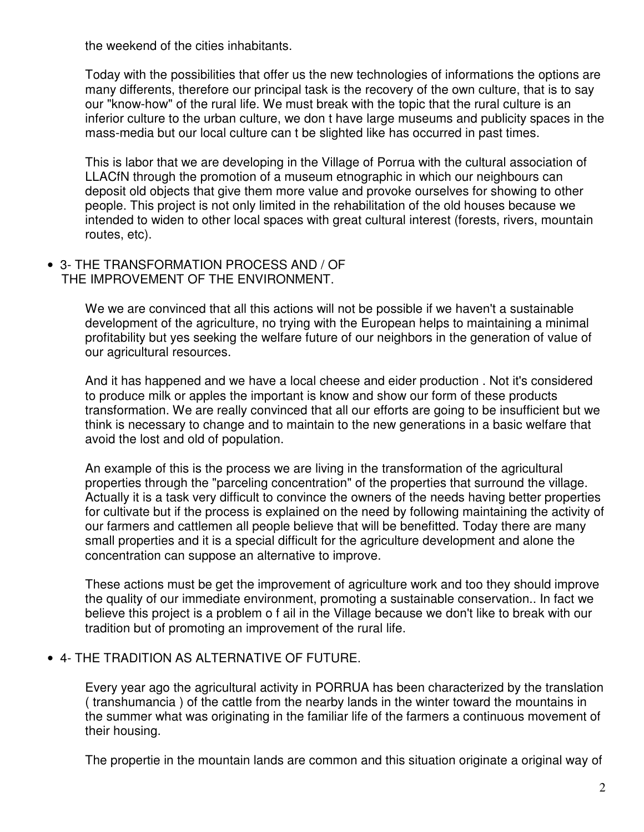the weekend of the cities inhabitants.

Today with the possibilities that offer us the new technologies of informations the options are many differents, therefore our principal task is the recovery of the own culture, that is to say our "know-how" of the rural life. We must break with the topic that the rural culture is an inferior culture to the urban culture, we don t have large museums and publicity spaces in the mass-media but our local culture can t be slighted like has occurred in past times.

This is labor that we are developing in the Village of Porrua with the cultural association of LLACfN through the promotion of a museum etnographic in which our neighbours can deposit old objects that give them more value and provoke ourselves for showing to other people. This project is not only limited in the rehabilitation of the old houses because we intended to widen to other local spaces with great cultural interest (forests, rivers, mountain routes, etc).

• 3- THE TRANSFORMATION PROCESS AND / OF THE IMPROVEMENT OF THE ENVIRONMENT.

> We we are convinced that all this actions will not be possible if we haven't a sustainable development of the agriculture, no trying with the European helps to maintaining a minimal profitability but yes seeking the welfare future of our neighbors in the generation of value of our agricultural resources.

And it has happened and we have a local cheese and eider production . Not it's considered to produce milk or apples the important is know and show our form of these products transformation. We are really convinced that all our efforts are going to be insufficient but we think is necessary to change and to maintain to the new generations in a basic welfare that avoid the lost and old of population.

An example of this is the process we are living in the transformation of the agricultural properties through the "parceling concentration" of the properties that surround the village. Actually it is a task very difficult to convince the owners of the needs having better properties for cultivate but if the process is explained on the need by following maintaining the activity of our farmers and cattlemen all people believe that will be benefitted. Today there are many small properties and it is a special difficult for the agriculture development and alone the concentration can suppose an alternative to improve.

These actions must be get the improvement of agriculture work and too they should improve the quality of our immediate environment, promoting a sustainable conservation.. In fact we believe this project is a problem o f ail in the Village because we don't like to break with our tradition but of promoting an improvement of the rural life.

## • 4- THE TRADITION AS ALTERNATIVE OF FUTURE.

Every year ago the agricultural activity in PORRUA has been characterized by the translation ( transhumancia ) of the cattle from the nearby lands in the winter toward the mountains in the summer what was originating in the familiar life of the farmers a continuous movement of their housing.

The propertie in the mountain lands are common and this situation originate a original way of